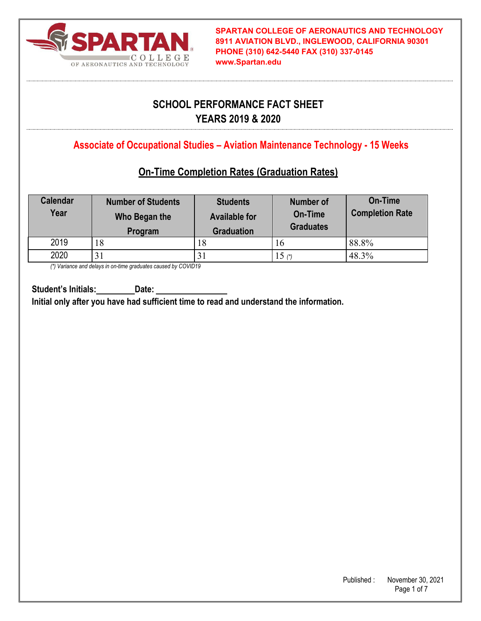

# **SCHOOL PERFORMANCE FACT SHEET YEARS 2019 & 2020**

**Associate of Occupational Studies – Aviation Maintenance Technology - 15 Weeks**

## **On-Time Completion Rates (Graduation Rates)**

| <b>Calendar</b><br>Year | <b>Number of Students</b><br>Who Began the<br>Program | <b>Students</b><br><b>Available for</b><br><b>Graduation</b> | <b>Number of</b><br>On-Time<br><b>Graduates</b> | <b>On-Time</b><br><b>Completion Rate</b> |
|-------------------------|-------------------------------------------------------|--------------------------------------------------------------|-------------------------------------------------|------------------------------------------|
| 2019                    | 18                                                    | 18                                                           | 16                                              | 88.8%                                    |
| 2020                    |                                                       | 31                                                           | 15 (*)                                          | 48.3%                                    |

*(\*) Variance and delays in on-time graduates caused by COVID19* 

**Student's Initials: Date: Initial only after you have had sufficient time to read and understand the information.**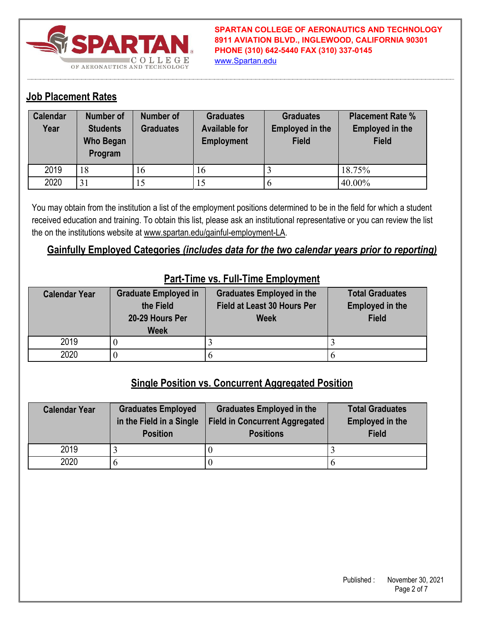

**SPARTAN COLLEGE OF AERONAUTICS AND TECHNOLOGY 8911 AVIATION BLVD., INGLEWOOD, CALIFORNIA 90301 PHONE (310) 642-5440 FAX (310) 337-0145** www.Spartan.edu

### **Job Placement Rates**

| <b>Calendar</b><br>Year | <b>Number of</b><br><b>Students</b><br><b>Who Began</b><br>Program | <b>Number of</b><br><b>Graduates</b> | <b>Graduates</b><br><b>Available for</b><br><b>Employment</b> | <b>Graduates</b><br><b>Employed in the</b><br><b>Field</b> | <b>Placement Rate %</b><br><b>Employed in the</b><br><b>Field</b> |
|-------------------------|--------------------------------------------------------------------|--------------------------------------|---------------------------------------------------------------|------------------------------------------------------------|-------------------------------------------------------------------|
| 2019                    | 18                                                                 | 16                                   | 16                                                            |                                                            | 18.75%                                                            |
| 2020                    | 31                                                                 | 15                                   | 15                                                            |                                                            | 40.00%                                                            |

You may obtain from the institution a list of the employment positions determined to be in the field for which a student received education and training. To obtain this list, please ask an institutional representative or you can review the list the on the institutions website at www.spartan.edu/gainful-employment-LA.

### **Gainfully Employed Categories** *(includes data for the two calendar years prior to reporting)*

| <b>Calendar Year</b> | <b>Graduate Employed in</b> | <b>Graduates Employed in the</b> | <b>Total Graduates</b> |
|----------------------|-----------------------------|----------------------------------|------------------------|
|                      | the Field                   | Field at Least 30 Hours Per      | <b>Employed in the</b> |
|                      | 20-29 Hours Per             | <b>Week</b>                      | <b>Field</b>           |
|                      | <b>Week</b>                 |                                  |                        |
| 2019                 |                             |                                  |                        |
| 2020                 |                             |                                  |                        |

#### **Part-Time vs. Full-Time Employment**

### **Single Position vs. Concurrent Aggregated Position**

| <b>Calendar Year</b> | <b>Graduates Employed</b><br>in the Field in a Single<br><b>Position</b> | <b>Graduates Employed in the</b><br><b>Field in Concurrent Aggregated</b><br><b>Positions</b> | <b>Total Graduates</b><br><b>Employed in the</b><br><b>Field</b> |
|----------------------|--------------------------------------------------------------------------|-----------------------------------------------------------------------------------------------|------------------------------------------------------------------|
| 2019                 |                                                                          |                                                                                               |                                                                  |
| 2020                 |                                                                          |                                                                                               |                                                                  |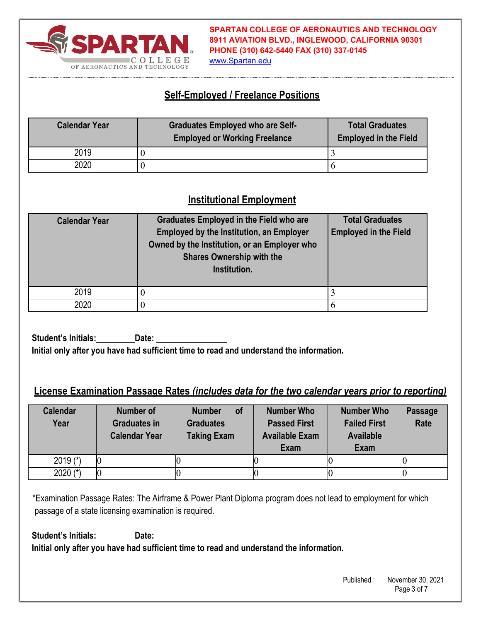

**SPARTAN COLLEGE OF AERONAUTICS AND TECHNOLOGY 8911 AVIATION BLVD., INGLEWOOD, CALIFORNIA 90301 PHONE (310) 642-5440 FAX (310) 337-0145**

#### www.Spartan.edu

### **Self-Employed / Freelance Positions**

| <b>Calendar Year</b> | <b>Graduates Employed who are Self-</b><br><b>Employed or Working Freelance</b> | <b>Total Graduates</b><br><b>Employed in the Field</b> |
|----------------------|---------------------------------------------------------------------------------|--------------------------------------------------------|
| 2019                 |                                                                                 |                                                        |
| 2020                 |                                                                                 |                                                        |

### **Institutional Employment**

| <b>Calendar Year</b> | <b>Graduates Employed in the Field who are</b><br><b>Employed by the Institution, an Employer</b><br>Owned by the Institution, or an Employer who<br><b>Shares Ownership with the</b><br>Institution. | <b>Total Graduates</b><br><b>Employed in the Field</b> |
|----------------------|-------------------------------------------------------------------------------------------------------------------------------------------------------------------------------------------------------|--------------------------------------------------------|
| 2019                 |                                                                                                                                                                                                       |                                                        |
| 2020                 |                                                                                                                                                                                                       | h                                                      |

**Student's Initials: Date: Initial only after you have had sufficient time to read and understand the information.** 

#### **License Examination Passage Rates** *(includes data for the two calendar years prior to reporting)*

| <b>Calendar</b><br>Year | <b>Number of</b><br><b>Graduates in</b><br><b>Calendar Year</b> | <b>of</b><br><b>Number</b><br><b>Graduates</b><br><b>Taking Exam</b> | <b>Number Who</b><br><b>Passed First</b><br><b>Available Exam</b><br><b>Exam</b> | <b>Number Who</b><br><b>Failed First</b><br><b>Available</b><br><b>Exam</b> | <b>Passage</b><br>Rate |
|-------------------------|-----------------------------------------------------------------|----------------------------------------------------------------------|----------------------------------------------------------------------------------|-----------------------------------------------------------------------------|------------------------|
| 2019 $(*)$              |                                                                 |                                                                      |                                                                                  |                                                                             |                        |
| 2020 $(*)$              |                                                                 |                                                                      |                                                                                  |                                                                             |                        |

\*Examination Passage Rates: The Airframe & Power Plant Diploma program does not lead to employment for which passage of a state licensing examination is required.

**Student's Initials: Date: Initial only after you have had sufficient time to read and understand the information.**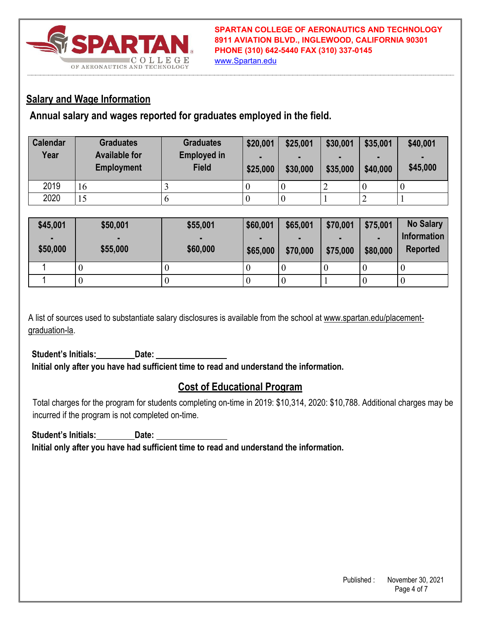

www.Spartan.edu

### **Salary and Wage Information**

**Annual salary and wages reported for graduates employed in the field.** 

| <b>Calendar</b><br>Year | <b>Graduates</b><br><b>Available for</b><br><b>Employment</b> | <b>Graduates</b><br><b>Employed in</b><br><b>Field</b> | \$20,001<br>\$25,000 | \$25,001<br>$\blacksquare$<br>\$30,000 | \$30,001<br>\$35,000 | \$35,001<br>$\blacksquare$<br>\$40,000 | \$40,001<br>\$45,000 |
|-------------------------|---------------------------------------------------------------|--------------------------------------------------------|----------------------|----------------------------------------|----------------------|----------------------------------------|----------------------|
| 2019                    | 16                                                            |                                                        | 0                    | $\theta$                               |                      |                                        |                      |
| 2020                    | 15                                                            |                                                        | 0                    | U                                      |                      |                                        |                      |

| \$45,001<br>٠<br>\$50,000 | \$50,001<br>\$55,000 | \$55,001<br>\$60,000 | \$60,001<br>\$65,000 | \$65,001<br>\$70,000 | \$70,001<br>\$75,000 | \$75,001<br>\$80,000 | <b>No Salary</b><br><b>Information</b><br><b>Reported</b> |
|---------------------------|----------------------|----------------------|----------------------|----------------------|----------------------|----------------------|-----------------------------------------------------------|
|                           |                      |                      |                      |                      |                      |                      | U                                                         |
|                           |                      |                      |                      | v                    |                      | $\theta$             | U                                                         |

A list of sources used to substantiate salary disclosures is available from the school at www.spartan.edu/placementgraduation-la.

Student's Initials:\_\_\_\_\_\_\_\_ Date: **Initial only after you have had sufficient time to read and understand the information.** 

## **Cost of Educational Program**

Total charges for the program for students completing on-time in 2019: \$10,314, 2020: \$10,788. Additional charges may be incurred if the program is not completed on-time.

Student's Initials: Date: **Initial only after you have had sufficient time to read and understand the information.**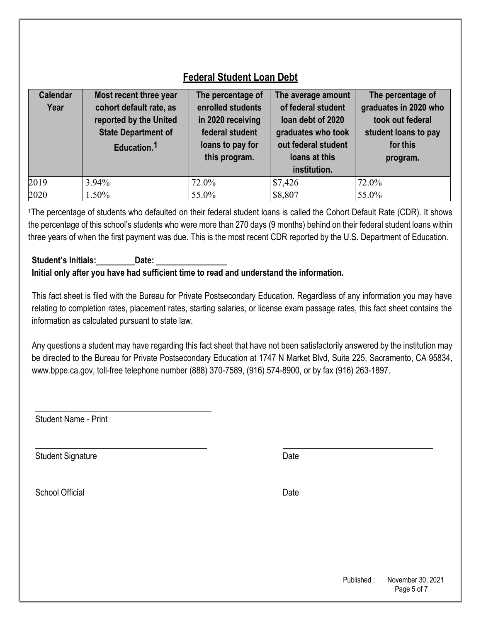| <b>Calendar</b><br>Year | Most recent three year<br>cohort default rate, as<br>reported by the United<br><b>State Department of</b><br>Education. <sup>1</sup> | The percentage of<br>enrolled students<br>in 2020 receiving<br>federal student<br>loans to pay for<br>this program. | The average amount<br>of federal student<br>loan debt of 2020<br>graduates who took<br>out federal student<br>loans at this<br>institution. | The percentage of<br>graduates in 2020 who<br>took out federal<br>student loans to pay<br>for this<br>program. |
|-------------------------|--------------------------------------------------------------------------------------------------------------------------------------|---------------------------------------------------------------------------------------------------------------------|---------------------------------------------------------------------------------------------------------------------------------------------|----------------------------------------------------------------------------------------------------------------|
| 2019                    | 3.94%                                                                                                                                | 72.0%                                                                                                               | \$7,426                                                                                                                                     | 72.0%                                                                                                          |
| 2020                    | 1.50%                                                                                                                                | 55.0%                                                                                                               | \$8,807                                                                                                                                     | 55.0%                                                                                                          |

## **Federal Student Loan Debt**

**<sup>1</sup>**The percentage of students who defaulted on their federal student loans is called the Cohort Default Rate (CDR). It shows the percentage of this school's students who were more than 270 days (9 months) behind on their federal student loans within three years of when the first payment was due. This is the most recent CDR reported by the U.S. Department of Education.

#### **Student's Initials: Date: Initial only after you have had sufficient time to read and understand the information.**

This fact sheet is filed with the Bureau for Private Postsecondary Education. Regardless of any information you may have relating to completion rates, placement rates, starting salaries, or license exam passage rates, this fact sheet contains the information as calculated pursuant to state law.

Any questions a student may have regarding this fact sheet that have not been satisfactorily answered by the institution may be directed to the Bureau for Private Postsecondary Education at 1747 N Market Blvd, Suite 225, Sacramento, CA 95834, www.bppe.ca.gov, toll-free telephone number (888) 370-7589, (916) 574-8900, or by fax (916) 263-1897.

Student Name - Print

Student Signature Date Date Controllers and Date Date Date

School Official Date Date Contract Contract Contract Contract Contract Contract Contract Contract Contract Contract Contract Contract Contract Contract Contract Contract Contract Contract Contract Contract Contract Contrac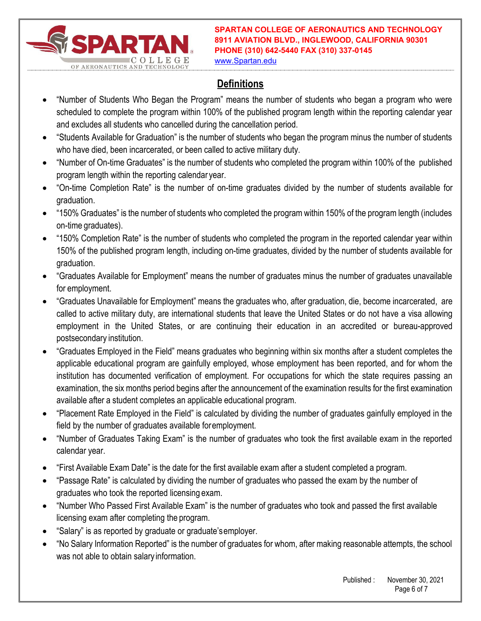

**SPARTAN COLLEGE OF AERONAUTICS AND TECHNOLOGY 8911 AVIATION BLVD., INGLEWOOD, CALIFORNIA 90301 PHONE (310) 642-5440 FAX (310) 337-0145**

www.Spartan.edu

# **Definitions**

- "Number of Students Who Began the Program" means the number of students who began a program who were scheduled to complete the program within 100% of the published program length within the reporting calendar year and excludes all students who cancelled during the cancellation period.
- "Students Available for Graduation" is the number of students who began the program minus the number of students who have died, been incarcerated, or been called to active military duty.
- "Number of On-time Graduates" is the number of students who completed the program within 100% of the published program length within the reporting calendar year.
- "On-time Completion Rate" is the number of on-time graduates divided by the number of students available for graduation.
- "150% Graduates" is the number of students who completed the program within 150% of the program length (includes on-time graduates).
- "150% Completion Rate" is the number of students who completed the program in the reported calendar year within 150% of the published program length, including on-time graduates, divided by the number of students available for graduation.
- "Graduates Available for Employment" means the number of graduates minus the number of graduates unavailable for employment.
- "Graduates Unavailable for Employment" means the graduates who, after graduation, die, become incarcerated, are called to active military duty, are international students that leave the United States or do not have a visa allowing employment in the United States, or are continuing their education in an accredited or bureau-approved postsecondary institution.
- "Graduates Employed in the Field" means graduates who beginning within six months after a student completes the applicable educational program are gainfully employed, whose employment has been reported, and for whom the institution has documented verification of employment. For occupations for which the state requires passing an examination, the six months period begins after the announcement of the examination results for the first examination available after a student completes an applicable educational program.
- "Placement Rate Employed in the Field" is calculated by dividing the number of graduates gainfully employed in the field by the number of graduates available for employment.
- "Number of Graduates Taking Exam" is the number of graduates who took the first available exam in the reported calendar year.
- "First Available Exam Date" is the date for the first available exam after a student completed a program.
- "Passage Rate" is calculated by dividing the number of graduates who passed the exam by the number of graduates who took the reported licensing exam.
- "Number Who Passed First Available Exam" is the number of graduates who took and passed the first available licensing exam after completing the program.
- "Salary" is as reported by graduate or graduate's employer.
- "No Salary Information Reported" is the number of graduates for whom, after making reasonable attempts, the school was not able to obtain salary information.